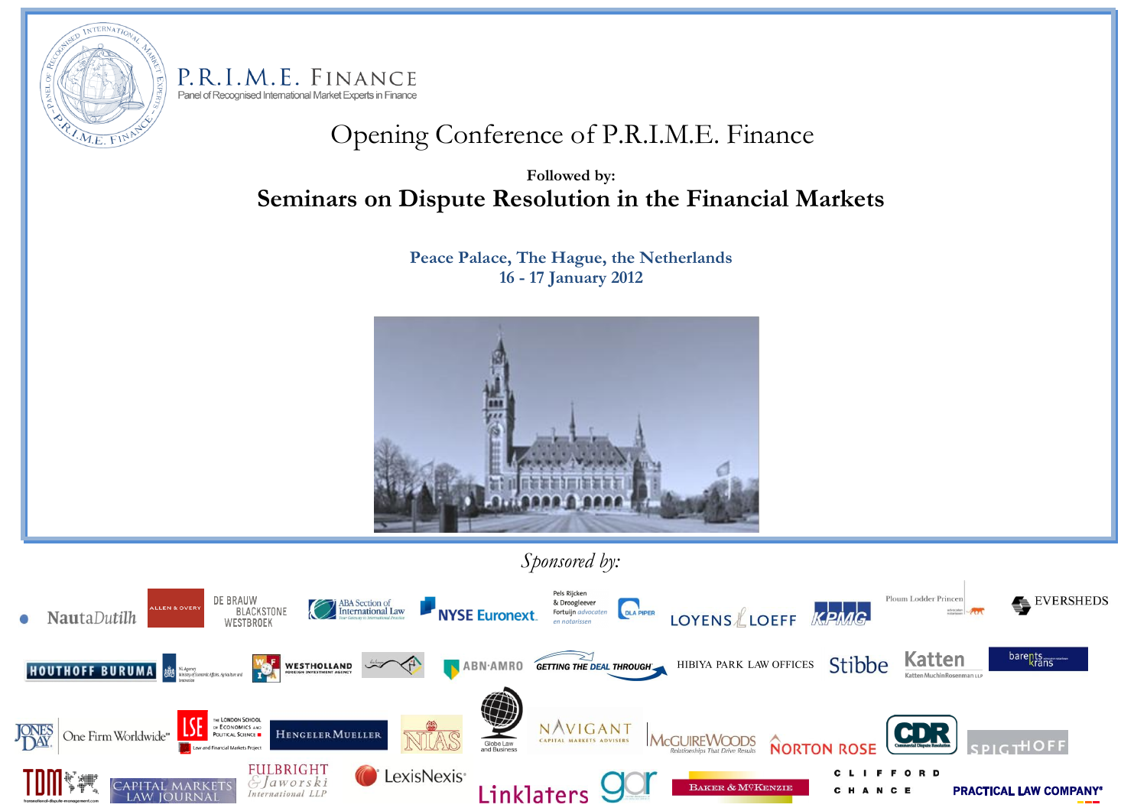

P.R.I.M.E. FINANCE Panel of Recognised International Market Experts in Finance

# Opening Conference of P.R.I.M.E. Finance

**Followed by: Seminars on Dispute Resolution in the Financial Markets**

> **Peace Palace, The Hague, the Netherlands 16 - 17 January 2012**



 *Sponsored by:*

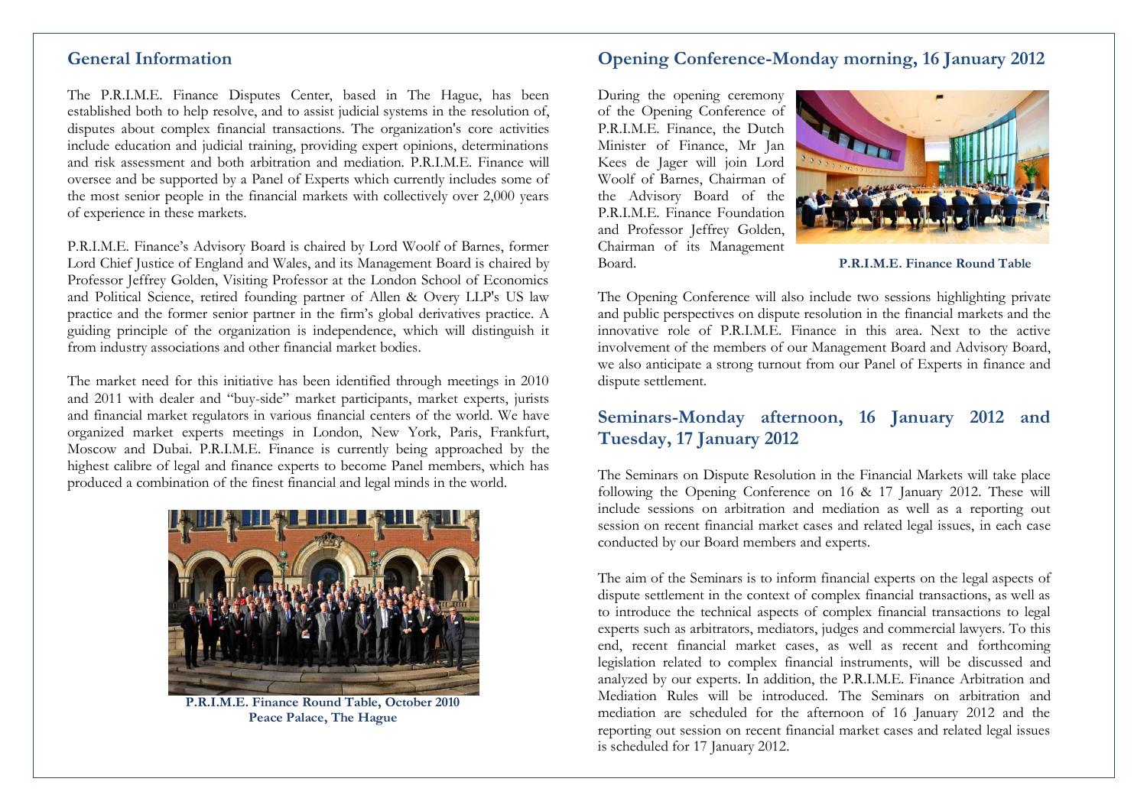### **General Information**

The P.R.I.M.E. Finance Disputes Center, based in The Hague, has been established both to help resolve, and to assist judicial systems in the resolution of, disputes about complex financial transactions. The organization's core activities include education and judicial training, providing expert opinions, determinations and risk assessment and both arbitration and mediation. P.R.I.M.E. Finance will oversee and be supported by a Panel of Experts which currently includes some of the most senior people in the financial markets with collectively over 2,000 years of experience in these markets.

P.R.I.M.E. Finance's Advisory Board is chaired by Lord Woolf of Barnes, former Lord Chief Justice of England and Wales, and its Management Board is chaired by Professor Jeffrey Golden, Visiting Professor at the London School of Economics and Political Science, retired founding partner of Allen & Overy LLP's US law practice and the former senior partner in the firm's global derivatives practice. A guiding principle of the organization is independence, which will distinguish it from industry associations and other financial market bodies.

The market need for this initiative has been identified through meetings in 2010 and 2011 with dealer and "buy-side" market participants, market experts, jurists and financial market regulators in various financial centers of the world. We have organized market experts meetings in London, New York, Paris, Frankfurt, Moscow and Dubai. P.R.I.M.E. Finance is currently being approached by the highest calibre of legal and finance experts to become Panel members, which has produced a combination of the finest financial and legal minds in the world.



**P.R.I.M.E. Finance Round Table, October 2010 Peace Palace, The Hague**

### **Opening Conference-Monday morning, 16 January 2012**

During the opening ceremony of the Opening Conference of P.R.I.M.E. Finance, the Dutch Minister of Finance, Mr Jan Kees de Jager will join Lord Woolf of Barnes, Chairman of the Advisory Board of the P.R.I.M.E. Finance Foundation and Professor Jeffrey Golden, Chairman of its Management Board. **P.R.I.M.E. Finance Round Table**



The Opening Conference will also include two sessions highlighting private and public perspectives on dispute resolution in the financial markets and the innovative role of P.R.I.M.E. Finance in this area. Next to the active involvement of the members of our Management Board and Advisory Board, we also anticipate a strong turnout from our Panel of Experts in finance and dispute settlement.

## **Seminars-Monday afternoon, 16 January 2012 and Tuesday, 17 January 2012**

The Seminars on Dispute Resolution in the Financial Markets will take place following the Opening Conference on 16 & 17 January 2012. These will include sessions on arbitration and mediation as well as a reporting out session on recent financial market cases and related legal issues, in each case conducted by our Board members and experts.

The aim of the Seminars is to inform financial experts on the legal aspects of dispute settlement in the context of complex financial transactions, as well as to introduce the technical aspects of complex financial transactions to legal experts such as arbitrators, mediators, judges and commercial lawyers. To this end, recent financial market cases, as well as recent and forthcoming legislation related to complex financial instruments, will be discussed and analyzed by our experts. In addition, the P.R.I.M.E. Finance Arbitration and Mediation Rules will be introduced. The Seminars on arbitration and mediation are scheduled for the afternoon of 16 January 2012 and the reporting out session on recent financial market cases and related legal issues is scheduled for 17 January 2012.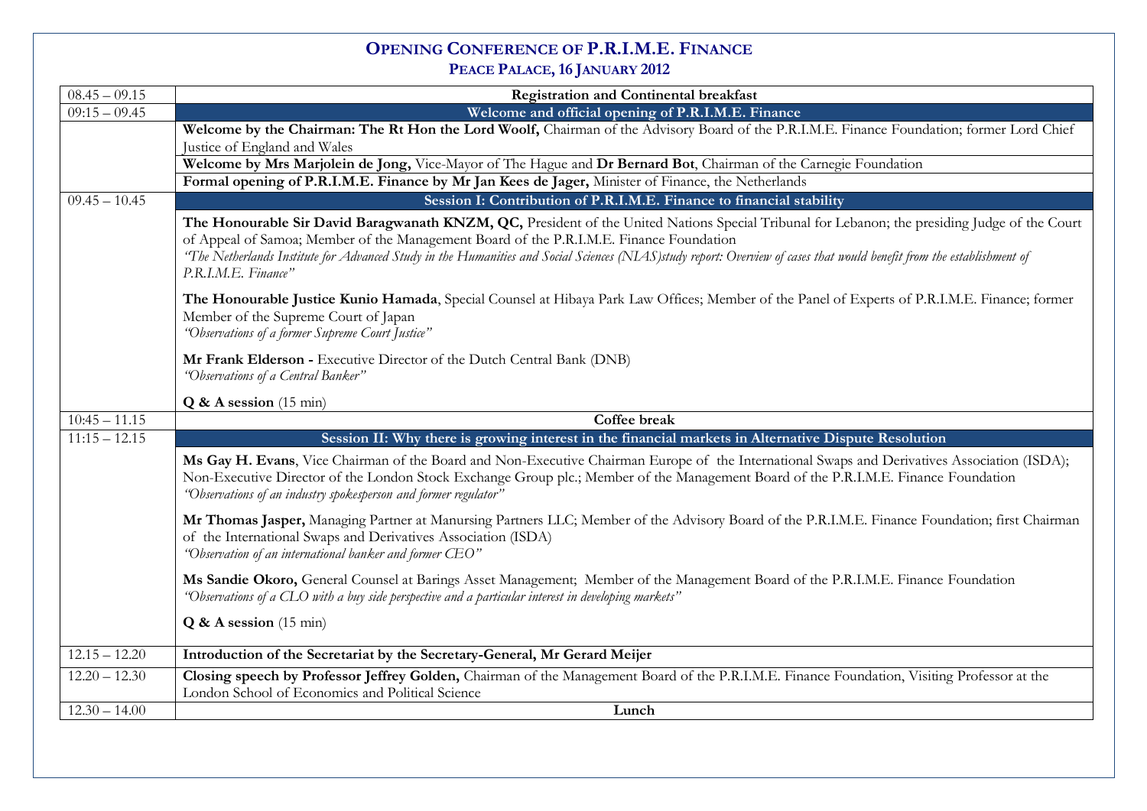# **OPENING CONFERENCE OF P.R.I.M.E. FINANCE PEACE PALACE, 16 JANUARY 2012**

| $08.45 - 09.15$ | <b>Registration and Continental breakfast</b>                                                                                                                                                                                                                                                                                                                                                                                             |
|-----------------|-------------------------------------------------------------------------------------------------------------------------------------------------------------------------------------------------------------------------------------------------------------------------------------------------------------------------------------------------------------------------------------------------------------------------------------------|
| $09:15 - 09.45$ | Welcome and official opening of P.R.I.M.E. Finance                                                                                                                                                                                                                                                                                                                                                                                        |
|                 | Welcome by the Chairman: The Rt Hon the Lord Woolf, Chairman of the Advisory Board of the P.R.I.M.E. Finance Foundation; former Lord Chief<br>Justice of England and Wales                                                                                                                                                                                                                                                                |
|                 | Welcome by Mrs Marjolein de Jong, Vice-Mayor of The Hague and Dr Bernard Bot, Chairman of the Carnegie Foundation                                                                                                                                                                                                                                                                                                                         |
|                 | Formal opening of P.R.I.M.E. Finance by Mr Jan Kees de Jager, Minister of Finance, the Netherlands                                                                                                                                                                                                                                                                                                                                        |
| $09.45 - 10.45$ | Session I: Contribution of P.R.I.M.E. Finance to financial stability                                                                                                                                                                                                                                                                                                                                                                      |
|                 | The Honourable Sir David Baragwanath KNZM, QC, President of the United Nations Special Tribunal for Lebanon; the presiding Judge of the Court<br>of Appeal of Samoa; Member of the Management Board of the P.R.I.M.E. Finance Foundation<br>"The Netherlands Institute for Advanced Study in the Humanities and Social Sciences (NIAS)study report: Overview of cases that would benefit from the establishment of<br>P.R.I.M.E. Finance" |
|                 | The Honourable Justice Kunio Hamada, Special Counsel at Hibaya Park Law Offices; Member of the Panel of Experts of P.R.I.M.E. Finance; former<br>Member of the Supreme Court of Japan<br>"Observations of a former Supreme Court Justice"                                                                                                                                                                                                 |
|                 | Mr Frank Elderson - Executive Director of the Dutch Central Bank (DNB)<br>"Observations of a Central Banker"                                                                                                                                                                                                                                                                                                                              |
|                 | $Q & A$ session (15 min)                                                                                                                                                                                                                                                                                                                                                                                                                  |
| $10:45 - 11.15$ | <b>Coffee break</b>                                                                                                                                                                                                                                                                                                                                                                                                                       |
| $11:15 - 12.15$ | Session II: Why there is growing interest in the financial markets in Alternative Dispute Resolution                                                                                                                                                                                                                                                                                                                                      |
|                 | Ms Gay H. Evans, Vice Chairman of the Board and Non-Executive Chairman Europe of the International Swaps and Derivatives Association (ISDA);<br>Non-Executive Director of the London Stock Exchange Group plc.; Member of the Management Board of the P.R.I.M.E. Finance Foundation<br>"Observations of an industry spokesperson and former regulator"                                                                                    |
|                 | Mr Thomas Jasper, Managing Partner at Manursing Partners LLC; Member of the Advisory Board of the P.R.I.M.E. Finance Foundation; first Chairman<br>of the International Swaps and Derivatives Association (ISDA)<br>"Observation of an international banker and former CEO"                                                                                                                                                               |
|                 | Ms Sandie Okoro, General Counsel at Barings Asset Management; Member of the Management Board of the P.R.I.M.E. Finance Foundation<br>"Observations of a CLO with a buy side perspective and a particular interest in developing markets"                                                                                                                                                                                                  |
|                 | $Q & A$ session (15 min)                                                                                                                                                                                                                                                                                                                                                                                                                  |
| $12.15 - 12.20$ | Introduction of the Secretariat by the Secretary-General, Mr Gerard Meijer                                                                                                                                                                                                                                                                                                                                                                |
| $12.20 - 12.30$ | Closing speech by Professor Jeffrey Golden, Chairman of the Management Board of the P.R.I.M.E. Finance Foundation, Visiting Professor at the<br>London School of Economics and Political Science                                                                                                                                                                                                                                          |
| $12.30 - 14.00$ | Lunch                                                                                                                                                                                                                                                                                                                                                                                                                                     |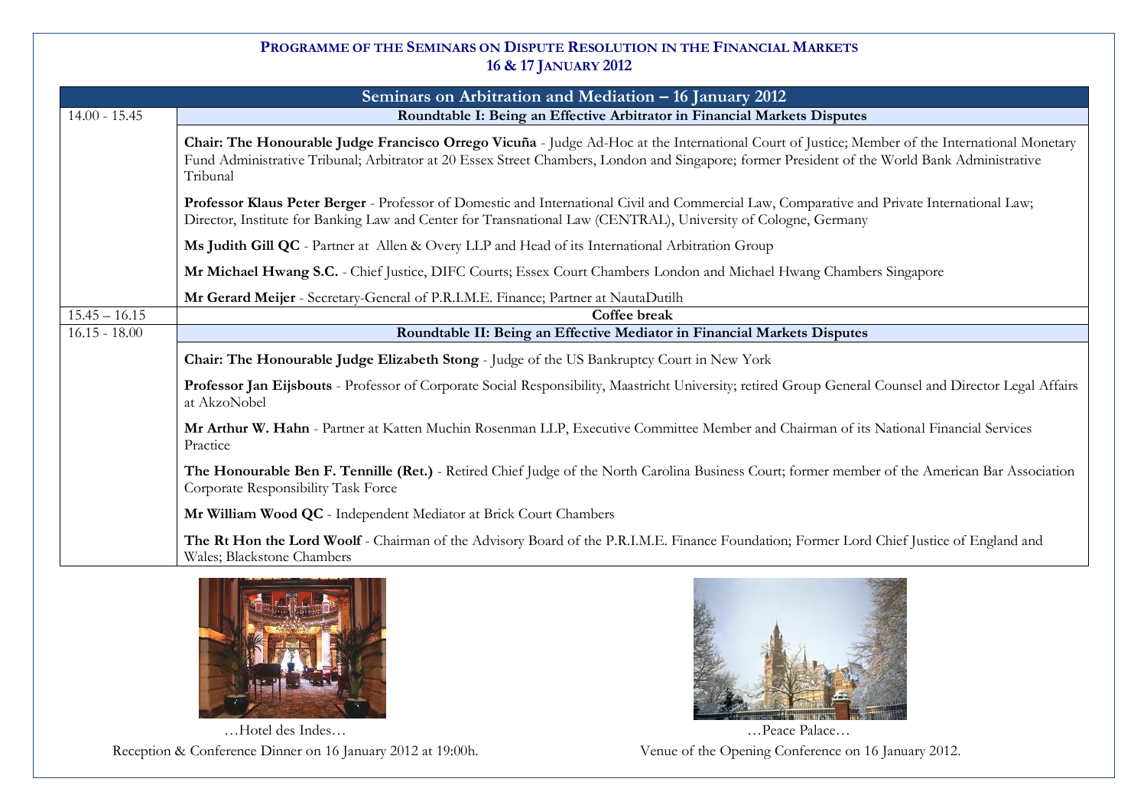### **PROGRAMME OF THE SEMINARS ON DISPUTE RESOLUTION IN THE FINANCIAL MARKETS 16 & 17 JANUARY 2012**

| Seminars on Arbitration and Mediation - 16 January 2012 |                                                                                                                                                                                                                                                                                                             |  |
|---------------------------------------------------------|-------------------------------------------------------------------------------------------------------------------------------------------------------------------------------------------------------------------------------------------------------------------------------------------------------------|--|
| $14.00 - 15.45$                                         | Roundtable I: Being an Effective Arbitrator in Financial Markets Disputes                                                                                                                                                                                                                                   |  |
|                                                         | Chair: The Honourable Judge Francisco Orrego Vicuña - Judge Ad-Hoc at the International Court of Justice; Member of the International Monetary<br>Fund Administrative Tribunal; Arbitrator at 20 Essex Street Chambers, London and Singapore; former President of the World Bank Administrative<br>Tribunal |  |
|                                                         | Professor Klaus Peter Berger - Professor of Domestic and International Civil and Commercial Law, Comparative and Private International Law;<br>Director, Institute for Banking Law and Center for Transnational Law (CENTRAL), University of Cologne, Germany                                               |  |
|                                                         | Ms Judith Gill QC - Partner at Allen & Overy LLP and Head of its International Arbitration Group                                                                                                                                                                                                            |  |
|                                                         | Mr Michael Hwang S.C. - Chief Justice, DIFC Courts; Essex Court Chambers London and Michael Hwang Chambers Singapore                                                                                                                                                                                        |  |
|                                                         | Mr Gerard Meijer - Secretary-General of P.R.I.M.E. Finance; Partner at NautaDutilh                                                                                                                                                                                                                          |  |
| $15.45 - 16.15$                                         | Coffee break                                                                                                                                                                                                                                                                                                |  |
| $16.15 - 18.00$                                         | Roundtable II: Being an Effective Mediator in Financial Markets Disputes                                                                                                                                                                                                                                    |  |
|                                                         | Chair: The Honourable Judge Elizabeth Stong - Judge of the US Bankruptcy Court in New York                                                                                                                                                                                                                  |  |
|                                                         | Professor Jan Eijsbouts - Professor of Corporate Social Responsibility, Maastricht University; retired Group General Counsel and Director Legal Affairs<br>at AkzoNobel                                                                                                                                     |  |
|                                                         | Mr Arthur W. Hahn - Partner at Katten Muchin Rosenman LLP, Executive Committee Member and Chairman of its National Financial Services<br>Practice                                                                                                                                                           |  |
|                                                         | The Honourable Ben F. Tennille (Ret.) - Retired Chief Judge of the North Carolina Business Court; former member of the American Bar Association<br>Corporate Responsibility Task Force                                                                                                                      |  |
|                                                         | Mr William Wood QC - Independent Mediator at Brick Court Chambers                                                                                                                                                                                                                                           |  |
|                                                         | The Rt Hon the Lord Woolf - Chairman of the Advisory Board of the P.R.I.M.E. Finance Foundation; Former Lord Chief Justice of England and<br>Wales; Blackstone Chambers                                                                                                                                     |  |



…Hotel des Indes… Reception & Conference Dinner on 16 January 2012 at 19:00h.



…Peace Palace… Venue of the Opening Conference on 16 January 2012.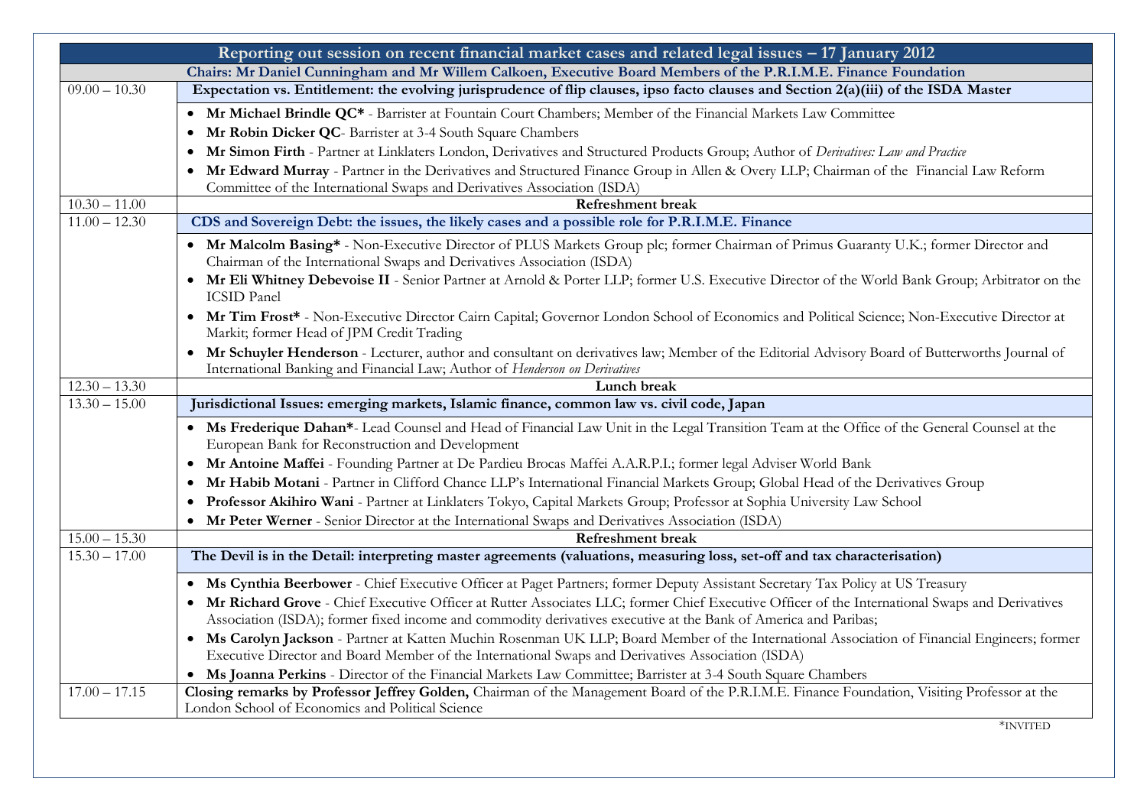| Reporting out session on recent financial market cases and related legal issues – 17 January 2012 |                                                                                                                                                                                                                                                                   |  |
|---------------------------------------------------------------------------------------------------|-------------------------------------------------------------------------------------------------------------------------------------------------------------------------------------------------------------------------------------------------------------------|--|
|                                                                                                   | Chairs: Mr Daniel Cunningham and Mr Willem Calkoen, Executive Board Members of the P.R.I.M.E. Finance Foundation                                                                                                                                                  |  |
| $09.00 - 10.30$                                                                                   | Expectation vs. Entitlement: the evolving jurisprudence of flip clauses, ipso facto clauses and Section 2(a)(iii) of the ISDA Master                                                                                                                              |  |
|                                                                                                   | • Mr Michael Brindle QC* - Barrister at Fountain Court Chambers; Member of the Financial Markets Law Committee                                                                                                                                                    |  |
|                                                                                                   | Mr Robin Dicker QC- Barrister at 3-4 South Square Chambers<br>$\bullet$                                                                                                                                                                                           |  |
|                                                                                                   | Mr Simon Firth - Partner at Linklaters London, Derivatives and Structured Products Group; Author of Derivatives: Law and Practice<br>$\bullet$                                                                                                                    |  |
|                                                                                                   | Mr Edward Murray - Partner in the Derivatives and Structured Finance Group in Allen & Overy LLP; Chairman of the Financial Law Reform<br>$\bullet$                                                                                                                |  |
|                                                                                                   | Committee of the International Swaps and Derivatives Association (ISDA)                                                                                                                                                                                           |  |
| $10.30 - 11.00$                                                                                   | <b>Refreshment</b> break                                                                                                                                                                                                                                          |  |
| $\overline{11.00} - 12.30$                                                                        | CDS and Sovereign Debt: the issues, the likely cases and a possible role for P.R.I.M.E. Finance                                                                                                                                                                   |  |
|                                                                                                   | • Mr Malcolm Basing* - Non-Executive Director of PLUS Markets Group plc; former Chairman of Primus Guaranty U.K.; former Director and<br>Chairman of the International Swaps and Derivatives Association (ISDA)                                                   |  |
|                                                                                                   | • Mr Eli Whitney Debevoise II - Senior Partner at Arnold & Porter LLP; former U.S. Executive Director of the World Bank Group; Arbitrator on the<br><b>ICSID</b> Panel                                                                                            |  |
|                                                                                                   | • Mr Tim Frost* - Non-Executive Director Cairn Capital; Governor London School of Economics and Political Science; Non-Executive Director at<br>Markit; former Head of JPM Credit Trading                                                                         |  |
|                                                                                                   | Mr Schuyler Henderson - Lecturer, author and consultant on derivatives law; Member of the Editorial Advisory Board of Butterworths Journal of<br>International Banking and Financial Law; Author of Henderson on Derivatives                                      |  |
| $12.30 - 13.30$                                                                                   | Lunch break                                                                                                                                                                                                                                                       |  |
| $13.30 - 15.00$                                                                                   | Jurisdictional Issues: emerging markets, Islamic finance, common law vs. civil code, Japan                                                                                                                                                                        |  |
|                                                                                                   | • Ms Frederique Dahan*- Lead Counsel and Head of Financial Law Unit in the Legal Transition Team at the Office of the General Counsel at the<br>European Bank for Reconstruction and Development                                                                  |  |
|                                                                                                   | Mr Antoine Maffei - Founding Partner at De Pardieu Brocas Maffei A.A.R.P.I.; former legal Adviser World Bank                                                                                                                                                      |  |
|                                                                                                   | Mr Habib Motani - Partner in Clifford Chance LLP's International Financial Markets Group; Global Head of the Derivatives Group                                                                                                                                    |  |
|                                                                                                   | Professor Akihiro Wani - Partner at Linklaters Tokyo, Capital Markets Group; Professor at Sophia University Law School                                                                                                                                            |  |
|                                                                                                   | Mr Peter Werner - Senior Director at the International Swaps and Derivatives Association (ISDA)                                                                                                                                                                   |  |
| $15.00 - 15.30$                                                                                   | <b>Refreshment</b> break                                                                                                                                                                                                                                          |  |
| $15.30 - 17.00$                                                                                   | The Devil is in the Detail: interpreting master agreements (valuations, measuring loss, set-off and tax characterisation)                                                                                                                                         |  |
|                                                                                                   | • Ms Cynthia Beerbower - Chief Executive Officer at Paget Partners; former Deputy Assistant Secretary Tax Policy at US Treasury                                                                                                                                   |  |
|                                                                                                   | Mr Richard Grove - Chief Executive Officer at Rutter Associates LLC; former Chief Executive Officer of the International Swaps and Derivatives<br>Association (ISDA); former fixed income and commodity derivatives executive at the Bank of America and Paribas; |  |
|                                                                                                   | Ms Carolyn Jackson - Partner at Katten Muchin Rosenman UK LLP; Board Member of the International Association of Financial Engineers; former<br>$\bullet$<br>Executive Director and Board Member of the International Swaps and Derivatives Association (ISDA)     |  |
|                                                                                                   | Ms Joanna Perkins - Director of the Financial Markets Law Committee; Barrister at 3-4 South Square Chambers                                                                                                                                                       |  |
| $17.00 - 17.15$                                                                                   | Closing remarks by Professor Jeffrey Golden, Chairman of the Management Board of the P.R.I.M.E. Finance Foundation, Visiting Professor at the<br>London School of Economics and Political Science                                                                 |  |
|                                                                                                   | *INVITED                                                                                                                                                                                                                                                          |  |